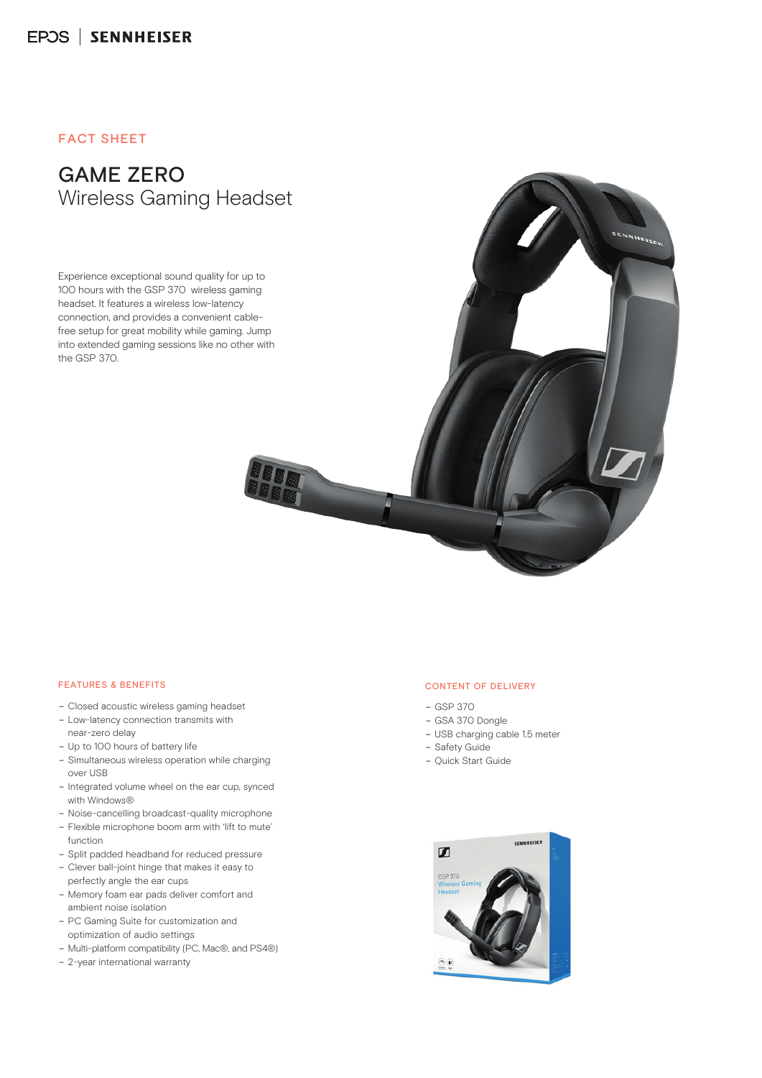## **FACT SHEFT**

# **GAME ZERO** f a juù việt á vÚ lý Eu «> á« µl**éá** À Gaming Headset

tÅu7°T, -, i [boc/uùù cá> ÚácÈu «> á«uUBA À à BÀ Âu ±ùu Eu Âu ác «cà ò ca Eu À à BÀ ŵ> ±ùµ

‡Åµá c áµµ± c ùȵácÈuª Ú¢«×u± c ‡ ŵá ç ùµµ×áç ÅlãÀ ª ò q̃и «lψ õ À à lãÀ  $\overrightarrow{A}$  à Bλ Âμ ±ùμ ç<sub>u</sub> μου Âμ 7 T, -, i [ ŵ>±ùµ Èu cõ ç

#### **FEATURES & BENEFITS**

- $-$  <μ δυ μδ  $\pm$ μ > Ěύς, Âμ λ à μ μ ζμ λ μ ν ά μ ως á  $\pm$
- «ÚŒ >á±>«« õ« EÅç öçৌÀûÚõáù± «μõ 殏áçl∲À
- "õù > Ú «ψ ν ö «çá μῶ » È áù » õ μ μáù õ μ ± ÈÅ µ ò ốc áçȵ «› ᫵ƯBàÀ à È ốc ò Ác áµ
- "çá μá $\tilde{\mu}$ a à  $\tilde{\alpha}$ çò $\tilde{\lambda}$ çáμ à μ  $\tilde{\alpha}$  ù à òÚ õ Èι $\tilde{\alpha}$ À ŵ ª ççà → ã
- 2á Èȵ «çá cçÚ Åµ çÚൠ«çá cçÚÈu tă μÀõ μ±çá Åμ đÀÅ μ>õ« ò
- m oặuà  $\mu$  «çà ¿çõ > li (i + ψ Åμą  $\mu$  dò $\psi$
- Ú µãu± à µà çõ (ç> à 'µ> õò> ±ù µáù ãu 'µ "a µù > «çù È ùµ Ú á± «çà ¿çõ
- (μù $\mathbb A$ áμ± $\chi$ σού μου > a ς±μοά ύ $\mathbb A$ Α μ $\mathbb A$ Α  $\pm$ μù $\overrightarrow{BA}$ á > á $\pm$  ᾶ  $^a$  ù à μ« Å » áι εν ù
- $\rightarrow$   $\dot{u}$   $\dot{c}$   $\ddot{u}$   $c\ddot{q}$   $\dot{u}$   $\dot{a}$   $\dot{a}$   $\ddot{a}$   $\ddot{d}$   $\ddot{d}$   $\dot{d}$   $\ddot{d}$   $d$   $\ddot{d}$   $d$   $\ddot{d}$   $\ddot{d}$   $\ddot{d}$   $\ddot{d}$   $\ddot{d}$   $\ddot{d}$   $\ddot{d}$   $\ddot{d}$   $\ddot{d}$   $\ddot{d}$   $\$ ù òòŒu±Å õ±«>õõ «>ùµ
- «Å>áÀμ>ª ψ́ι «>ª ψ́ιù ¿çõà ÚÈυψ ò ν çõà ù Àu

#### **CONTENT OF DELIVERY**

 $\overline{\phantom{a}}$ 

- B e0 Ozl w  $f$  $B'$
- $\,$  G  $\,$  '
- $-0$ ,  $\cdot \cdot \cdot$
- Safety Guide
- Quick Start Guide